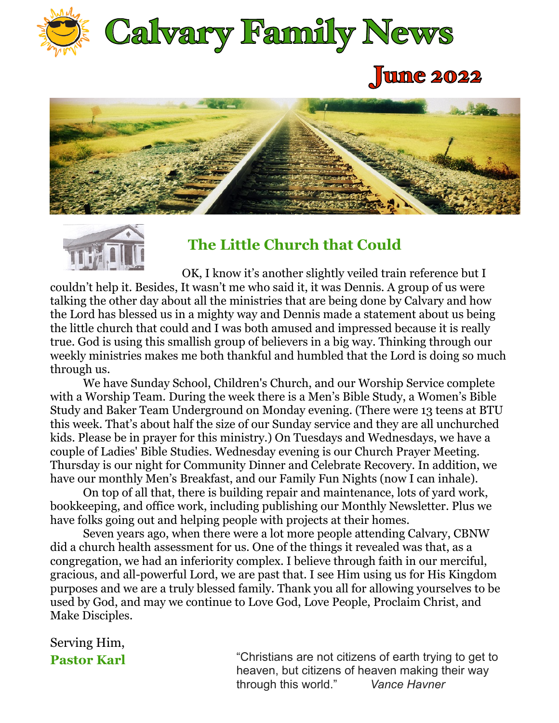

# June 2022





## **The Little Church that Could**

OK, I know it's another slightly veiled train reference but I couldn't help it. Besides, It wasn't me who said it, it was Dennis. A group of us were talking the other day about all the ministries that are being done by Calvary and how the Lord has blessed us in a mighty way and Dennis made a statement about us being the little church that could and I was both amused and impressed because it is really true. God is using this smallish group of believers in a big way. Thinking through our weekly ministries makes me both thankful and humbled that the Lord is doing so much through us.

 Study and Baker Team Underground on Monday evening. (There were 13 teens at BTU We have Sunday School, Children's Church, and our Worship Service complete with a Worship Team. During the week there is a Men's Bible Study, a Women's Bible this week. That's about half the size of our Sunday service and they are all unchurched kids. Please be in prayer for this ministry.) On Tuesdays and Wednesdays, we have a couple of Ladies' Bible Studies. Wednesday evening is our Church Prayer Meeting. Thursday is our night for Community Dinner and Celebrate Recovery. In addition, we have our monthly Men's Breakfast, and our Family Fun Nights (now I can inhale).

 On top of all that, there is building repair and maintenance, lots of yard work, bookkeeping, and office work, including publishing our Monthly Newsletter. Plus we have folks going out and helping people with projects at their homes.

 Seven years ago, when there were a lot more people attending Calvary, CBNW did a church health assessment for us. One of the things it revealed was that, as a congregation, we had an inferiority complex. I believe through faith in our merciful, gracious, and all-powerful Lord, we are past that. I see Him using us for His Kingdom purposes and we are a truly blessed family. Thank you all for allowing yourselves to be used by God, and may we continue to Love God, Love People, Proclaim Christ, and Make Disciples.

Serving Him,

**Pastor Karl The Christians are not citizens of earth trying to get to** heaven, but citizens of heaven making their way through this world." *Vance Havner*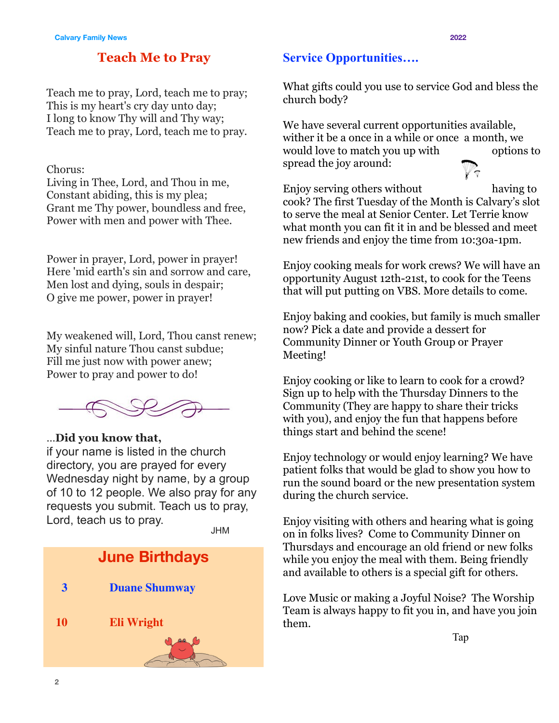#### **Teach Me to Pray**

Teach me to pray, Lord, teach me to pray; This is my heart's cry day unto day; I long to know Thy will and Thy way; Teach me to pray, Lord, teach me to pray.

#### Chorus:

Living in Thee, Lord, and Thou in me, Constant abiding, this is my plea; Grant me Thy power, boundless and free, Power with men and power with Thee.

Power in prayer, Lord, power in prayer! Here 'mid earth's sin and sorrow and care, Men lost and dying, souls in despair; O give me power, power in prayer!

My weakened will, Lord, Thou canst renew; My sinful nature Thou canst subdue; Fill me just now with power anew; Power to pray and power to do!



#### …**Did you know that,**

if your name is listed in the church directory, you are prayed for every Wednesday night by name, by a group of 10 to 12 people. We also pray for any requests you submit. Teach us to pray, Lord, teach us to pray.

JHM



#### **Service Opportunities….**

What gifts could you use to service God and bless the church body?

We have several current opportunities available, wither it be a once in a while or once a month, we would love to match you up with options to spread the joy around:

Enjoy serving others without having to cook? The first Tuesday of the Month is Calvary's slot to serve the meal at Senior Center. Let Terrie know what month you can fit it in and be blessed and meet new friends and enjoy the time from 10:30a-1pm.

Enjoy cooking meals for work crews? We will have an opportunity August 12th-21st, to cook for the Teens that will put putting on VBS. More details to come.

Enjoy baking and cookies, but family is much smaller now? Pick a date and provide a dessert for Community Dinner or Youth Group or Prayer Meeting!

Enjoy cooking or like to learn to cook for a crowd? Sign up to help with the Thursday Dinners to the Community (They are happy to share their tricks with you), and enjoy the fun that happens before things start and behind the scene!

Enjoy technology or would enjoy learning? We have patient folks that would be glad to show you how to run the sound board or the new presentation system during the church service.

Enjoy visiting with others and hearing what is going on in folks lives? Come to Community Dinner on Thursdays and encourage an old friend or new folks while you enjoy the meal with them. Being friendly and available to others is a special gift for others.

Love Music or making a Joyful Noise? The Worship Team is always happy to fit you in, and have you join them.

**Tap**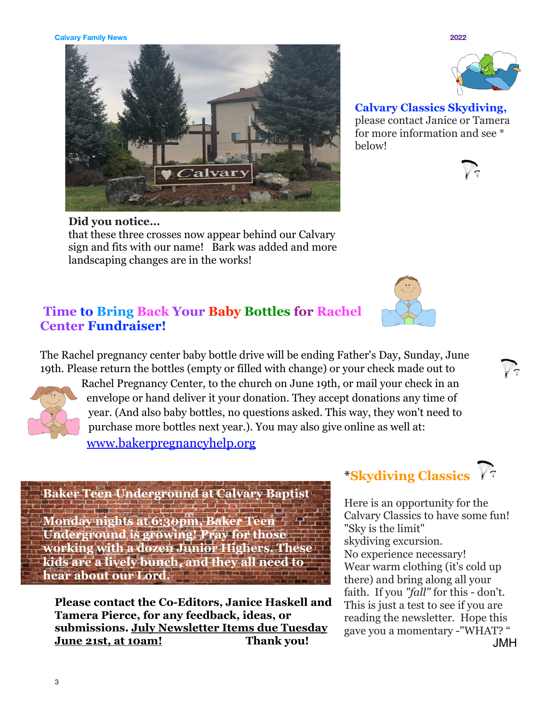**3**

that these three crosses now appear behind our Calvary sign and fits with our name! Bark was added and more landscaping changes are in the works!

### **Time to Bring Back Your Baby Bottles for Rachel Center Fundraiser!**

The Rachel pregnancy center baby bottle drive will be ending Father's Day, Sunday, June 19th. Please return the bottles (empty or filled with change) or your check made out to

Rachel Pregnancy Center, to the church on June 19th, or mail your check in an envelope or hand deliver it your donation. They accept donations any time of year. (And also baby bottles, no questions asked. This way, they won't need to purchase more bottles next year.). You may also give online as well at: [www.bakerpregnancyhelp.org](http://www.bakerpregnancyhelp.org)

### **Baker Teen Underground at Calvary Baptist**

**Monday nights at 6:30pm, Baker Teen Underground is growing! Pray for those working with a dozen Junior Highers. These kids are a lively bunch, and they all need to hear about our Lord.** 

**Please contact the Co-Editors, Janice Haskell and Tamera Pierce, for any feedback, ideas, or submissions. July Newsletter Items due Tuesday June 21st, at 10am! Thank you!**

# **\*Skydiving Classics**

Here is an opportunity for the Calvary Classics to have some fun! "Sky is the limit" skydiving excursion. No experience necessary! Wear warm clothing (it's cold up there) and bring along all your faith. If you *"fall"* for this - don't. This is just a test to see if you are reading the newsletter. Hope this gave you a momentary -"WHAT? " JMH

**Calvary Classics Skydiving,**  please contact Janice or Tamera for more information and see \* below!













**Calvary Family News 2022**